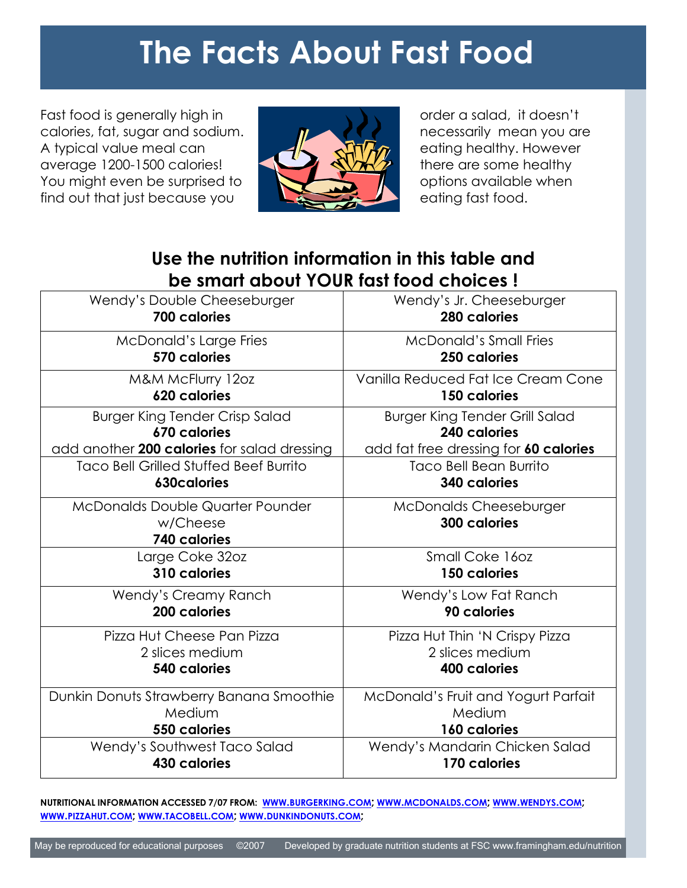# **The Facts About Fast Food**

Fast food is generally high in calories, fat, sugar and sodium. A typical value meal can average 1200-1500 calories! You might even be surprised to find out that just because you



order a salad, it doesn't necessarily mean you are eating healthy. However there are some healthy options available when eating fast food.

## **Use the nutrition information in this table and be smart about YOUR fast food choices !**

| Wendy's Double Cheeseburger                                         | Wendy's Jr. Cheeseburger                             |
|---------------------------------------------------------------------|------------------------------------------------------|
| 700 calories                                                        | 280 calories                                         |
| <b>McDonald's Large Fries</b>                                       | <b>McDonald's Small Fries</b>                        |
| 570 calories                                                        | 250 calories                                         |
| M&M McFlurry 12oz                                                   | Vanilla Reduced Fat Ice Cream Cone                   |
| 620 calories                                                        | 150 calories                                         |
| <b>Burger King Tender Crisp Salad</b>                               | <b>Burger King Tender Grill Salad</b>                |
| 670 calories                                                        | 240 calories                                         |
| add another 200 calories for salad dressing                         | add fat free dressing for 60 calories                |
| <b>Taco Bell Grilled Stuffed Beef Burrito</b>                       | <b>Taco Bell Bean Burrito</b>                        |
| <b>630calories</b>                                                  | <b>340 calories</b>                                  |
| <b>McDonalds Double Quarter Pounder</b><br>w/Cheese<br>740 calories | <b>McDonalds Cheeseburger</b><br><b>300 calories</b> |
| Large Coke 32oz                                                     | Small Coke 160z                                      |
| 310 calories                                                        | 150 calories                                         |
| Wendy's Creamy Ranch                                                | Wendy's Low Fat Ranch                                |
| 200 calories                                                        | 90 calories                                          |
| Pizza Hut Cheese Pan Pizza                                          | Pizza Hut Thin 'N Crispy Pizza                       |
| 2 slices medium                                                     | 2 slices medium                                      |
| 540 calories                                                        | 400 calories                                         |
| Dunkin Donuts Strawberry Banana Smoothie                            | McDonald's Fruit and Yogurt Parfait                  |
| Medium                                                              | Medium                                               |
| 550 calories                                                        | <b>160 calories</b>                                  |
| Wendy's Southwest Taco Salad                                        | Wendy's Mandarin Chicken Salad                       |
| <b>430 calories</b>                                                 | 170 calories                                         |

NUTRITIONAL INFORMATION ACCESSED 7/07 FROM: WWW.[BURGERKING](http://www.burgerking.com/).COM; WWW.[MCDONALDS](http://www.mcdonalds.com/).COM; WWW.[WENDYS](http://www.wendys.com/).COM; **WWW.[PIZZAHUT](http://www.pizzahut.com/).COM; WWW.[TACOBELL](http://www.tacobell.com/).COM; WWW.[DUNKINDONUTS](http://www.dunkindonuts.com/).COM;**